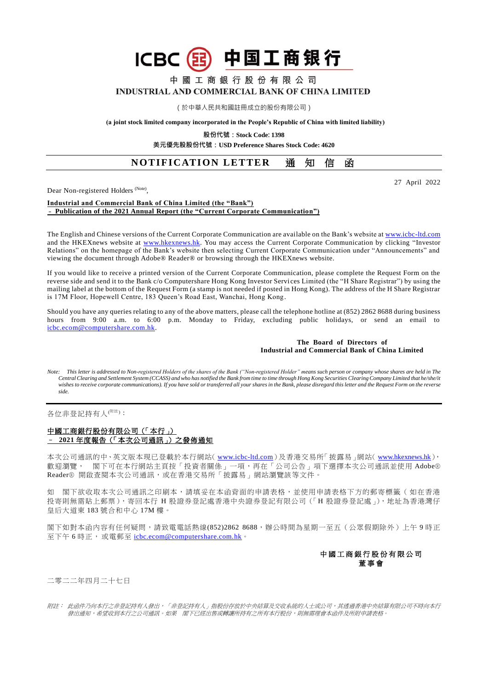# 中国工商银行 **ICBC**

中 國 工 商 銀 行 股 份 有 限 公 司 INDUSTRIAL AND COMMERCIAL BANK OF CHINA LIMITED

(於中華人民共和國註冊成立的股份有限公司)

**(a joint stock limited company incorporated in the People's Republic of China with limited liability)**

**股份代號:Stock Code: 1398**

**美元優先股股份代號:USD Preference Shares Stock Code: 4620**

## **NOTIFICATION LETTER 通知信函**

27 April 2022

Dear Non-registered Holders<sup> (Note)</sup>,

#### **Industrial and Commercial Bank of China Limited (the "Bank")** – **Publication of the 2021 Annual Report (the "Current Corporate Communication")**

The English and Chinese versions of the Current Corporate Communication are available on the Bank's website a[t www.icbc-ltd.com](http://www.icbc-ltd.com/ICBCLtd/en/default.htm) and the HKEXnews website at [www.hkexnews.hk.](http://www.hkexnews.hk/) You may access the Current Corporate Communication by clicking "Investor Relations" on the homepage of the Bank's website then selecting Current Corporate Communication under "Announcements" and viewing the document through Adobe® Reader® or browsing through the HKEXnews website.

If you would like to receive a printed version of the Current Corporate Communication, please complete the Request Form on the reverse side and send it to the Bank c/o Computershare Hong Kong Investor Services Limited (the "H Share Registrar") by using the mailing label at the bottom of the Request Form (a stamp is not needed if posted in Hong Kong). The address of the H Share Registrar is 17M Floor, Hopewell Centre, 183 Queen's Road East, Wanchai, Hong Kong.

Should you have any queries relating to any of the above matters, please call the telephone hotline at (852) 2862 8688 during business hours from 9:00 a.m. to 6:00 p.m. Monday to Friday, excluding public holidays, or send an email to [icbc.ecom@computershare.com.hk.](mailto:icbc.ecom@computershare.com.hk)

#### **The Board of Directors of Industrial and Commercial Bank of China Limited**

*Note: This letter is addressed to Non-registered Holders of the shares of the Bank ("Non-registered Holder" means such person or company whose shares are held in The Central Clearing and Settlement System (CCASS) and who has notified the Bank from time to time through Hong Kong Securities Clearing Company Limited that he/she/it wishes to receive corporate communications). If you have sold or transferred all your shares in the Bank, please disregard this letter and the Request Form on the reverse side.*

各位非登記持有人<sup>(附註)</sup>:

### 中國工商銀行股份有限公司(「本行」) – **2021** 年度報告(「本次公司通訊」)之發佈通知

本次公司通訊的中、英文版本現已登載於本行網站( [www.icbc-ltd.com](http://www.icbc-ltd.com/icbcltd/default.htm))及香港交易所「披露易」網站( [www.hkexnews.hk](http://www.hkexnews.hk/)), 歡迎瀏覽, 閣下可在本行網站主頁按「投資者關係」一項,再在「公司公告」項下選擇本次公司通訊並使用 Adobe® Reader® 開啟查閱本次公司通訊,或在香港交易所「披露易」網站瀏覽該等文件。

如 閣下欲收取本次公司通訊之印刷本,請填妥在本函背面的申請表格,並使用申請表格下方的郵寄標籤(如在香港 投寄則無需貼上郵票),寄回本行 H 股證券登記處香港中央證券登記有限公司(「H 股證券登記處」),地址為香港灣仔 皇后大道東 183 號合和中心 17M 樓。

閣下如對本函內容有任何疑問,請致電電話熱線(852)2862 8688,辦公時間為星期一至五(公眾假期除外)上午9時正 至下午 6 時正, 或電郵至 [icbc.ecom@computershare.com.hk](mailto:icbc.ecom@computershare.com.hk)。



二零二二年四月二十七日

附註: 此函件乃向本行之非登記持有人發出,「非登記持有人」指股份存放於中央結算及交收系統的人士或公司,其透過香港中央結算有限公司不時向本行 發出通知,希望收到本行之公司通訊。如果 閣下已經出售或轉讓所持有之所有本行股份,則無需理會本函件及所附申請表格。